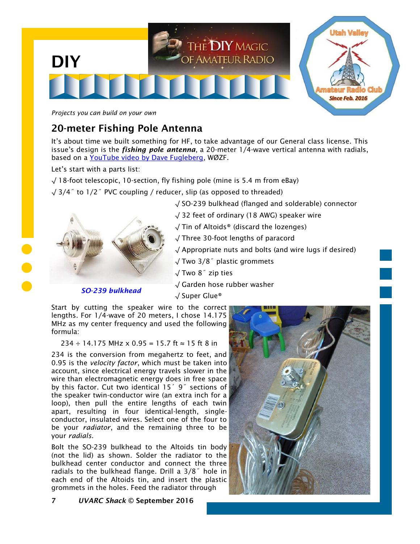

*Projects you can build on your own*

## 20-meter Fishing Pole Antenna

It's about time we built something for HF, to take advantage of our General class license. This issue's design is the *fishing pole antenna*, a 20-meter 1/4-wave vertical antenna with radials, based on a [YouTube video by Dave Fugleberg,](https://www.youtube.com/watch?v=642N0oWgY5I) WØZF.

Let's start with a parts list:

- $\sqrt{18}$ -foot telescopic, 10-section, fly fishing pole (mine is 5.4 m from eBay)
- √ 3/4˝ to 1/2˝ PVC coupling / reducer, slip (as opposed to threaded)





- √ Tin of Altoids® (discard the lozenges)
- √ Three 30-foot lengths of paracord

√ Appropriate nuts and bolts (and wire lugs if desired)

- √ Two 3/8˝ plastic grommets
- √ Two 8˝ zip ties
- √ Garden hose rubber washer
- *SO-239 bulkhead*
- √ Super Glue®

Start by cutting the speaker wire to the correct lengths. For 1/4-wave of 20 meters, I chose 14.175 MHz as my center frequency and used the following formula:

234 ÷ 14.175 MHz x 0.95 = 15.7 ft ≈ 15 ft 8 in

234 is the conversion from megahertz to feet, and 0.95 is the *velocity factor*, which must be taken into account, since electrical energy travels slower in the wire than electromagnetic energy does in free space by this factor. Cut two identical 15<sup>'</sup> 9<sup>"</sup> sections of the speaker twin-conductor wire (an extra inch for a loop), then pull the entire lengths of each twin apart, resulting in four identical-length, singleconductor, insulated wires. Select one of the four to be your *radiator*, and the remaining three to be your *radials*.

Bolt the SO-239 bulkhead to the Altoids tin body (not the lid) as shown. Solder the radiator to the bulkhead center conductor and connect the three radials to the bulkhead flange. Drill a 3/8˝ hole in each end of the Altoids tin, and insert the plastic grommets in the holes. Feed the radiator through



7 *UVARC Shack* © September 2016